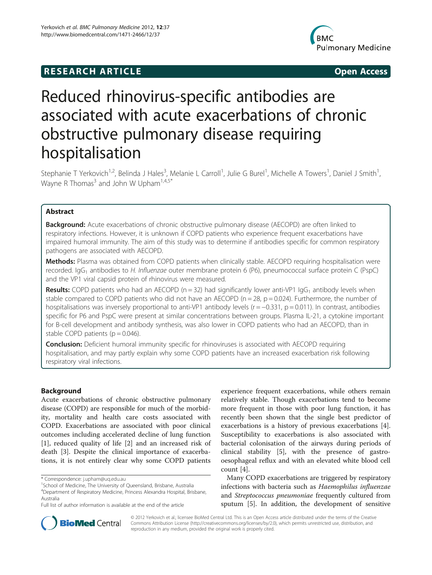## **RESEARCH ARTICLE Example 2014 The SEAR CH ACCESS**



# Reduced rhinovirus-specific antibodies are associated with acute exacerbations of chronic obstructive pulmonary disease requiring hospitalisation

Stephanie T Yerkovich<sup>1,2</sup>, Belinda J Hales<sup>3</sup>, Melanie L Carroll<sup>1</sup>, Julie G Burel<sup>1</sup>, Michelle A Towers<sup>1</sup>, Daniel J Smith<sup>1</sup> , Wayne R Thomas<sup>3</sup> and John W Upham<sup>1,4,5\*</sup>

## Abstract

**Background:** Acute exacerbations of chronic obstructive pulmonary disease (AECOPD) are often linked to respiratory infections. However, it is unknown if COPD patients who experience frequent exacerbations have impaired humoral immunity. The aim of this study was to determine if antibodies specific for common respiratory pathogens are associated with AECOPD.

Methods: Plasma was obtained from COPD patients when clinically stable. AECOPD requiring hospitalisation were recorded. IgG<sub>1</sub> antibodies to H. Influenzae outer membrane protein 6 (P6), pneumococcal surface protein C (PspC) and the VP1 viral capsid protein of rhinovirus were measured.

**Results:** COPD patients who had an AECOPD ( $n = 32$ ) had significantly lower anti-VP1 IgG<sub>1</sub> antibody levels when stable compared to COPD patients who did not have an AECOPD ( $n = 28$ ,  $p = 0.024$ ). Furthermore, the number of hospitalisations was inversely proportional to anti-VP1 antibody levels ( $r = -0.331$ ,  $p = 0.011$ ). In contrast, antibodies specific for P6 and PspC were present at similar concentrations between groups. Plasma IL-21, a cytokine important for B-cell development and antibody synthesis, was also lower in COPD patients who had an AECOPD, than in stable COPD patients  $(p = 0.046)$ .

**Conclusion:** Deficient humoral immunity specific for rhinoviruses is associated with AECOPD requiring hospitalisation, and may partly explain why some COPD patients have an increased exacerbation risk following respiratory viral infections.

## Background

Acute exacerbations of chronic obstructive pulmonary disease (COPD) are responsible for much of the morbidity, mortality and health care costs associated with COPD. Exacerbations are associated with poor clinical outcomes including accelerated decline of lung function [[1\]](#page-5-0), reduced quality of life [\[2](#page-5-0)] and an increased risk of death [[3\]](#page-5-0). Despite the clinical importance of exacerbations, it is not entirely clear why some COPD patients

experience frequent exacerbations, while others remain relatively stable. Though exacerbations tend to become more frequent in those with poor lung function, it has recently been shown that the single best predictor of exacerbations is a history of previous exacerbations [\[4](#page-5-0)]. Susceptibility to exacerbations is also associated with bacterial colonisation of the airways during periods of clinical stability [[5\]](#page-5-0), with the presence of gastrooesophageal reflux and with an elevated white blood cell count [\[4](#page-5-0)].

Many COPD exacerbations are triggered by respiratory infections with bacteria such as Haemophilus influenzae and Streptococcus pneumoniae frequently cultured from sputum [\[5](#page-5-0)]. In addition, the development of sensitive



© 2012 Yerkovich et al.; licensee BioMed Central Ltd. This is an Open Access article distributed under the terms of the Creative Commons Attribution License [\(http://creativecommons.org/licenses/by/2.0\)](http://creativecommons.org/licenses/by/2.0), which permits unrestricted use, distribution, and reproduction in any medium, provided the original work is properly cited.

<sup>\*</sup> Correspondence: [j.upham@uq.edu.au](mailto:j.upham@uq.edu.au) <sup>1</sup>

<sup>&</sup>lt;sup>1</sup>School of Medicine, The University of Queensland, Brisbane, Australia 4 Department of Respiratory Medicine, Princess Alexandra Hospital, Brisbane, Australia

Full list of author information is available at the end of the article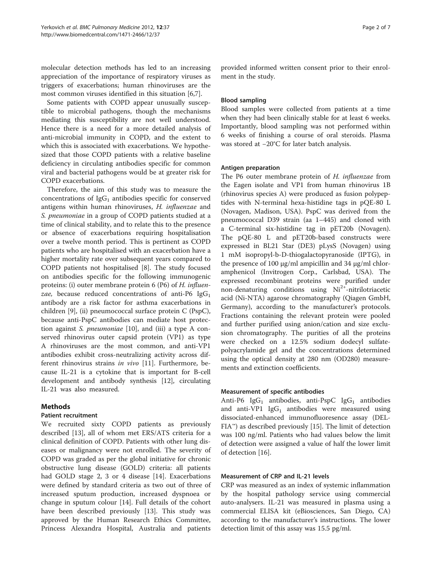molecular detection methods has led to an increasing appreciation of the importance of respiratory viruses as triggers of exacerbations; human rhinoviruses are the most common viruses identified in this situation [[6,7\]](#page-5-0).

Some patients with COPD appear unusually susceptible to microbial pathogens, though the mechanisms mediating this susceptibility are not well understood. Hence there is a need for a more detailed analysis of anti-microbial immunity in COPD, and the extent to which this is associated with exacerbations. We hypothesized that those COPD patients with a relative baseline deficiency in circulating antibodies specific for common viral and bacterial pathogens would be at greater risk for COPD exacerbations.

Therefore, the aim of this study was to measure the concentrations of  $IgG_1$  antibodies specific for conserved antigens within human rhinoviruses, H. influenzae and S. pneumoniae in a group of COPD patients studied at a time of clinical stability, and to relate this to the presence or absence of exacerbations requiring hospitalisation over a twelve month period. This is pertinent as COPD patients who are hospitalised with an exacerbation have a higher mortality rate over subsequent years compared to COPD patients not hospitalised [\[8](#page-5-0)]. The study focused on antibodies specific for the following immunogenic proteins: (i) outer membrane protein 6 (P6) of H. influenzae, because reduced concentrations of anti-P6  $\text{IgG}_1$ antibody are a risk factor for asthma exacerbations in children [[9](#page-5-0)], (ii) pneumococcal surface protein C (PspC), because anti-PspC antibodies can mediate host protection against S. pneumoniae [[10](#page-5-0)], and (iii) a type A conserved rhinovirus outer capsid protein (VP1) as type A rhinoviruses are the most common, and anti-VP1 antibodies exhibit cross-neutralizing activity across different rhinovirus strains in vivo [\[11](#page-5-0)]. Furthermore, because IL-21 is a cytokine that is important for B-cell development and antibody synthesis [[12\]](#page-5-0), circulating IL-21 was also measured.

#### Methods

#### Patient recruitment

We recruited sixty COPD patients as previously described [[13](#page-5-0)], all of whom met ERS/ATS criteria for a clinical definition of COPD. Patients with other lung diseases or malignancy were not enrolled. The severity of COPD was graded as per the global initiative for chronic obstructive lung disease (GOLD) criteria: all patients had GOLD stage 2, 3 or 4 disease [\[14\]](#page-5-0). Exacerbations were defined by standard criteria as two out of three of increased sputum production, increased dyspnoea or change in sputum colour [\[14\]](#page-5-0). Full details of the cohort have been described previously [\[13](#page-5-0)]. This study was approved by the Human Research Ethics Committee, Princess Alexandra Hospital, Australia and patients provided informed written consent prior to their enrolment in the study.

#### Blood sampling

Blood samples were collected from patients at a time when they had been clinically stable for at least 6 weeks. Importantly, blood sampling was not performed within 6 weeks of finishing a course of oral steroids. Plasma was stored at −20°C for later batch analysis.

#### Antigen preparation

The P6 outer membrane protein of H. influenzae from the Eagen isolate and VP1 from human rhinovirus 1B (rhinovirus species A) were produced as fusion polypeptides with N-terminal hexa-histidine tags in pQE-80 L (Novagen, Madison, USA). PspC was derived from the pneumococcal D39 strain (aa 1–445) and cloned with a C-terminal six-histidine tag in pET20b (Novagen). The pQE-80 L and pET20b-based constructs were expressed in BL21 Star (DE3) pLysS (Novagen) using 1 mM isopropyl-b-D-thiogalactopyranoside (IPTG), in the presence of 100 μg/ml ampicillin and 34 μg/ml chloramphenicol (Invitrogen Corp., Carlsbad, USA). The expressed recombinant proteins were purified under non-denaturing conditions using  $Ni<sup>2+</sup>$ -nitrilotriacetic acid (Ni-NTA) agarose chromatography (Qiagen GmbH, Germany), according to the manufacturer's protocols. Fractions containing the relevant protein were pooled and further purified using anion/cation and size exclusion chromatography. The purities of all the proteins were checked on a 12.5% sodium dodecyl sulfatepolyacrylamide gel and the concentrations determined using the optical density at 280 nm (OD280) measurements and extinction coefficients.

#### Measurement of specific antibodies

Anti-P6  $I gG_1$  antibodies, anti-PspC  $I gG_1$  antibodies and anti-VP1  $IgG_1$  antibodies were measured using dissociated-enhanced immunofluoresence assay (DEL- $FIA^{\omega}$ ) as described previously [\[15\]](#page-6-0). The limit of detection was 100 ng/ml. Patients who had values below the limit of detection were assigned a value of half the lower limit of detection [\[16\]](#page-6-0).

#### Measurement of CRP and IL-21 levels

CRP was measured as an index of systemic inflammation by the hospital pathology service using commercial auto-analysers. IL-21 was measured in plasma using a commercial ELISA kit (eBiosciences, San Diego, CA) according to the manufacturer's instructions. The lower detection limit of this assay was 15.5 pg/ml.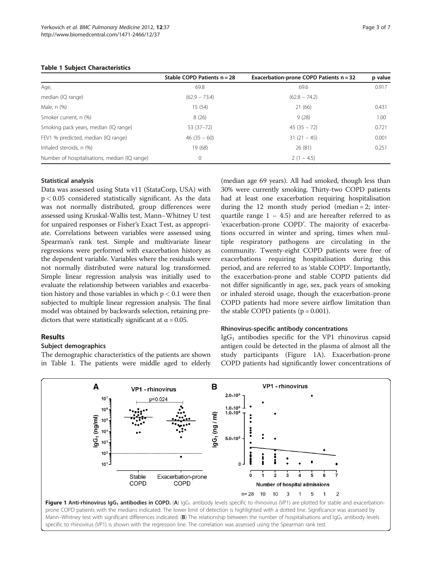## <span id="page-2-0"></span>Table 1 Subject Characteristics

|                                               | Stable COPD Patients $n = 28$ | Exacerbation-prone COPD Patients n = 32 | p value |
|-----------------------------------------------|-------------------------------|-----------------------------------------|---------|
| Age,                                          | 69.8                          | 69.6                                    | 0.917   |
| median (IQ range)                             | $(62.9 - 73.4)$               | $(62.8 - 74.2)$                         |         |
| Male, n (%)                                   | 15(54)                        | 21 (66)                                 | 0.431   |
| Smoker current, n (%)                         | 8(26)                         | 9(28)                                   | 1.00    |
| Smoking pack years, median (IQ range)         | 53 (37-72)                    | $45(35 - 72)$                           | 0.721   |
| FEV1 % predicted, median (IQ range)           | $46(35 - 60)$                 | $31(21 - 45)$                           | 0.001   |
| Inhaled steroids, n (%)                       | 19 (68)                       | 26(81)                                  | 0.251   |
| Number of hospitalisations, median (IQ range) | 0                             | $2(1 - 4.5)$                            |         |

### Statistical analysis

Data was assessed using Stata v11 (StataCorp, USA) with  $p < 0.05$  considered statistically significant. As the data was not normally distributed, group differences were assessed using Kruskal-Wallis test, Mann–Whitney U test for unpaired responses or Fisher's Exact Test, as appropriate. Correlations between variables were assessed using Spearman's rank test. Simple and multivariate linear regressions were performed with exacerbation history as the dependent variable. Variables where the residuals were not normally distributed were natural log transformed. Simple linear regression analysis was initially used to evaluate the relationship between variables and exacerbation history and those variables in which  $p < 0.1$  were then subjected to multiple linear regression analysis. The final model was obtained by backwards selection, retaining predictors that were statistically significant at  $\alpha$  = 0.05.

## Results

## Subject demographics

The demographic characteristics of the patients are shown in Table 1. The patients were middle aged to elderly

(median age 69 years). All had smoked, though less than 30% were currently smoking. Thirty-two COPD patients had at least one exacerbation requiring hospitalisation during the 12 month study period (median = 2; interquartile range  $1 - 4.5$ ) and are hereafter referred to as 'exacerbation-prone COPD'. The majority of exacerbations occurred in winter and spring, times when multiple respiratory pathogens are circulating in the community. Twenty-eight COPD patients were free of exacerbations requiring hospitalisation during this period, and are referred to as 'stable COPD'. Importantly, the exacerbation-prone and stable COPD patients did not differ significantly in age, sex, pack years of smoking or inhaled steroid usage, though the exacerbation-prone COPD patients had more severe airflow limitation than the stable COPD patients  $(p = 0.001)$ .

#### Rhinovirus-specific antibody concentrations

 $IgG<sub>1</sub>$  antibodies specific for the VP1 rhinovirus capsid antigen could be detected in the plasma of almost all the study participants (Figure 1A). Exacerbation-prone COPD patients had significantly lower concentrations of

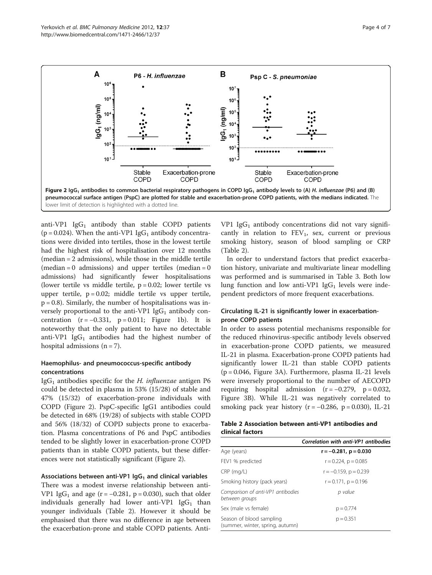<span id="page-3-0"></span>

lower limit of detection is highlighted with a dotted line.

anti-VP1  $IgG_1$  antibody than stable COPD patients ( $p = 0.024$ ). When the anti-VP1 IgG<sub>1</sub> antibody concentrations were divided into tertiles, those in the lowest tertile had the highest risk of hospitalisation over 12 months (median = 2 admissions), while those in the middle tertile  $(median = 0$  admissions) and upper tertiles  $(median = 0$ admissions) had significantly fewer hospitalisations (lower tertile vs middle tertile,  $p = 0.02$ ; lower tertile vs upper tertile,  $p = 0.02$ ; middle tertile vs upper tertile,  $p = 0.8$ ). Similarly, the number of hospitalisations was inversely proportional to the anti-VP1  $IgG_1$  antibody concentration  $(r = -0.331, p = 0.011;$  Figure [1b](#page-2-0)). It is noteworthy that the only patient to have no detectable anti-VP1  $IgG_1$  antibodies had the highest number of hospital admissions  $(n = 7)$ .

### Haemophilus- and pneumococcus-specific antibody concentrations

IgG<sub>1</sub> antibodies specific for the *H. influenzae* antigen P6 could be detected in plasma in 53% (15/28) of stable and 47% (15/32) of exacerbation-prone individuals with COPD (Figure 2). PspC-specific IgG1 antibodies could be detected in 68% (19/28) of subjects with stable COPD and 56% (18/32) of COPD subjects prone to exacerbation. Plasma concentrations of P6 and PspC antibodies tended to be slightly lower in exacerbation-prone COPD patients than in stable COPD patients, but these differences were not statistically significant (Figure 2).

#### Associations between anti-VP1  $\log_1$  and clinical variables

There was a modest inverse relationship between anti-VP1 IgG<sub>1</sub> and age (r =  $-0.281$ , p = 0.030), such that older individuals generally had lower anti-VP1  $\text{IgG}_1$  than younger individuals (Table 2). However it should be emphasised that there was no difference in age between the exacerbation-prone and stable COPD patients. AntiVP1 Ig $G_1$  antibody concentrations did not vary significantly in relation to  $FEV_1$ , sex, current or previous smoking history, season of blood sampling or CRP (Table 2).

In order to understand factors that predict exacerbation history, univariate and multivariate linear modelling was performed and is summarised in Table [3.](#page-4-0) Both low lung function and low anti-VP1  $IgG_1$  levels were independent predictors of more frequent exacerbations.

### Circulating IL-21 is significantly lower in exacerbationprone COPD patients

In order to assess potential mechanisms responsible for the reduced rhinovirus-specific antibody levels observed in exacerbation-prone COPD patients, we measured IL-21 in plasma. Exacerbation-prone COPD patients had significantly lower IL-21 than stable COPD patients (p = 0.046, Figure [3A](#page-4-0)). Furthermore, plasma IL-21 levels were inversely proportional to the number of AECOPD requiring hospital admission  $(r = -0.279, p = 0.032,$ Figure [3B\)](#page-4-0). While IL-21 was negatively correlated to smoking pack year history ( $r = -0.286$ ,  $p = 0.030$ ), IL-21

| Table 2 Association between anti-VP1 antibodies and |  |  |
|-----------------------------------------------------|--|--|
| clinical factors                                    |  |  |

|                                                              | Correlation with anti-VP1 antibodies |
|--------------------------------------------------------------|--------------------------------------|
| Age (years)                                                  | $r = -0.281$ , $p = 0.030$           |
| FEV1 % predicted                                             | $r = 0.224$ , $p = 0.085$            |
| $CRP$ (mg/L)                                                 | $r = -0.159$ , $p = 0.239$           |
| Smoking history (pack years)                                 | $r = 0.171$ , $p = 0.196$            |
| Comparison of anti-VP1 antibodies<br>between groups          | p value                              |
| Sex (male vs female)                                         | $p = 0.774$                          |
| Season of blood sampling<br>(summer, winter, spring, autumn) | $p = 0.351$                          |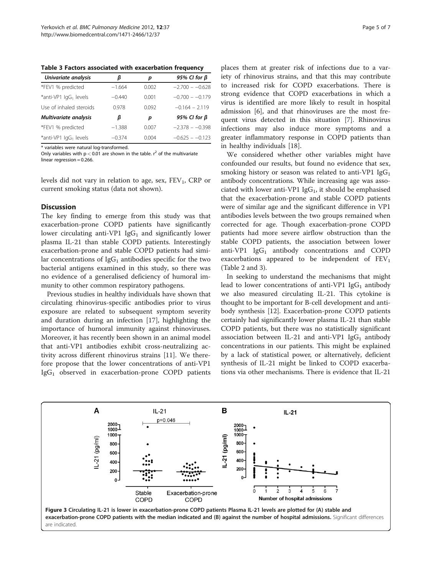<span id="page-4-0"></span>Table 3 Factors associated with exacerbation frequency

| Univariate analysis               | ß        | р     | 95% CI for $\beta$ |
|-----------------------------------|----------|-------|--------------------|
| *FEV1 % predicted                 | $-1.664$ | 0.002 | $-2.700 - -0.628$  |
| *anti-VP1 IgG1 levels             | $-0.440$ | 0.001 | $-0.700 - -0.179$  |
| Use of inhaled steroids           | 0.978    | 0.092 | $-0.164 - 2.119$   |
| Multivariate analysis             | β        | р     | 95% CI for $\beta$ |
| *FEV1 % predicted                 | $-1.388$ | 0.007 | $-2.378 - -0.398$  |
| *anti-VP1 lgG <sub>1</sub> levels | $-0.374$ | 0.004 | $-0.625 - 0.123$   |

\* variables were natural log-transformed.

Only variables with  $p < 0.01$  are shown in the table.  $r^2$  of the multivariate linear regression = 0.266.

levels did not vary in relation to age, sex,  $FEV<sub>1</sub>$ , CRP or current smoking status (data not shown).

#### **Discussion**

The key finding to emerge from this study was that exacerbation-prone COPD patients have significantly lower circulating anti-VP1  $IgG_1$  and significantly lower plasma IL-21 than stable COPD patients. Interestingly exacerbation-prone and stable COPD patients had similar concentrations of  $\text{IgG}_1$  antibodies specific for the two bacterial antigens examined in this study, so there was no evidence of a generalised deficiency of humoral immunity to other common respiratory pathogens.

Previous studies in healthy individuals have shown that circulating rhinovirus-specific antibodies prior to virus exposure are related to subsequent symptom severity and duration during an infection [[17\]](#page-6-0), highlighting the importance of humoral immunity against rhinoviruses. Moreover, it has recently been shown in an animal model that anti-VP1 antibodies exhibit cross-neutralizing activity across different rhinovirus strains [[11](#page-5-0)]. We therefore propose that the lower concentrations of anti-VP1  $IgG<sub>1</sub>$  observed in exacerbation-prone COPD patients

places them at greater risk of infections due to a variety of rhinovirus strains, and that this may contribute to increased risk for COPD exacerbations. There is strong evidence that COPD exacerbations in which a virus is identified are more likely to result in hospital admission [[6\]](#page-5-0), and that rhinoviruses are the most frequent virus detected in this situation [\[7](#page-5-0)]. Rhinovirus infections may also induce more symptoms and a greater inflammatory response in COPD patients than in healthy individuals [[18\]](#page-6-0).

We considered whether other variables might have confounded our results, but found no evidence that sex, smoking history or season was related to anti-VP1  $IgG_1$ antibody concentrations. While increasing age was associated with lower anti-VP1  $IgG<sub>1</sub>$ , it should be emphasised that the exacerbation-prone and stable COPD patients were of similar age and the significant difference in VP1 antibodies levels between the two groups remained when corrected for age. Though exacerbation-prone COPD patients had more severe airflow obstruction than the stable COPD patients, the association between lower anti-VP1  $IgG_1$  antibody concentrations and COPD exacerbations appeared to be independent of  $FEV<sub>1</sub>$ (Table [2](#page-3-0) and 3).

In seeking to understand the mechanisms that might lead to lower concentrations of anti-VP1  $IgG_1$  antibody we also measured circulating IL-21. This cytokine is thought to be important for B-cell development and antibody synthesis [\[12\]](#page-5-0). Exacerbation-prone COPD patients certainly had significantly lower plasma IL-21 than stable COPD patients, but there was no statistically significant association between IL-21 and anti-VP1 Ig $G_1$  antibody concentrations in our patients. This might be explained by a lack of statistical power, or alternatively, deficient synthesis of IL-21 might be linked to COPD exacerbations via other mechanisms. There is evidence that IL-21

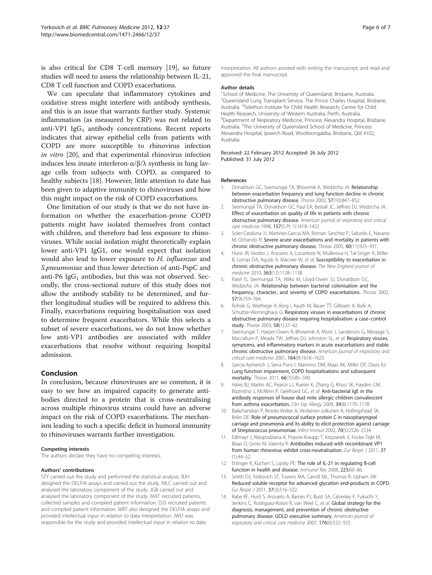<span id="page-5-0"></span>is also critical for CD8 T-cell memory [[19\]](#page-6-0), so future studies will need to assess the relationship between IL-21, CD8 T cell function and COPD exacerbations.

We can speculate that inflammatory cytokines and oxidative stress might interfere with antibody synthesis, and this is an issue that warrants further study. Systemic inflammation (as measured by CRP) was not related to anti-VP1  $IgG_1$  antibody concentrations. Recent reports indicates that airway epithelial cells from patients with COPD are more susceptible to rhinovirus infection in vitro [[20](#page-6-0)], and that experimental rhinovirus infection induces less innate interferon-α/β/λ synthesis in lung lavage cells from subjects with COPD, as compared to healthy subjects [\[18\]](#page-6-0). However, little attention to date has been given to adaptive immunity to rhinoviruses and how this might impact on the risk of COPD exacerbations.

One limitation of our study is that we do not have information on whether the exacerbation-prone COPD patients might have isolated themselves from contact with children, and therefore had less exposure to rhinoviruses. While social isolation might theoretically explain lower anti-VP1 IgG1, one would expect that isolation would also lead to lower exposure to H. influenzae and S.pneumoniae and thus lower detection of anti-PspC and anti-P6  $\lg G_1$  antibodies, but this was not observed. Secondly, the cross-sectional nature of this study does not allow the antibody stability to be determined, and further longitudinal studies will be required to address this. Finally, exacerbations requiring hospitalisation was used to determine frequent exacerbators. While this selects a subset of severe exacerbations, we do not know whether low anti-VP1 antibodies are associated with milder exacerbations that resolve without requiring hospital admission.

#### Conclusion

In conclusion, because rhinoviruses are so common, it is easy to see how an impaired capacity to generate antibodies directed to a protein that is cross-neutralising across multiple rhinovirus strains could have an adverse impact on the risk of COPD exacerbations. The mechanism leading to such a specific deficit in humoral immunity to rhinoviruses warrants further investigation.

#### Competing interests

The authors declare they have no competing interests.

#### Authors' contributions

STY carried out the study and performed the statistical analysis. BJH designed the DELFIA assays and carried out the study. MLC carried out and analysed the laboratory component of the study. JGB carried out and analysed the laboratory component of the study. MAT recruited patients, collected samples and compiled patient information. DJS recruited patients and compiled patient information. WRT also designed the DELFIA assays and provided intellectual input in relation to data interpretation. JWU was responsible for the study and provided intellectual input in relation to data

interpretation. All authors assisted with writing the manuscript, and read and approved the final manuscript.

#### Author details

<sup>1</sup>School of Medicine, The University of Queensland, Brisbane, Australia. <sup>2</sup>Queensland Lung Transplant Service, The Prince Charles Hospital, Brisbane Australia. <sup>3</sup>Telethon Institute for Child Health Research, Centre for Child Health Research, University of Western Australia, Perth, Australia. 4 Department of Respiratory Medicine, Princess Alexandra Hospital, Brisbane, Australia. <sup>5</sup>The University of Queensland School of Medicine, Princess Alexandra Hospital, Ipswich Road, Woolloongabba, Brisbane, Qld 4102, Australia.

#### Received: 22 February 2012 Accepted: 26 July 2012 Published: 31 July 2012

#### References

- Donaldson GC, Seemungal TA, Bhowmik A, Wedzicha JA: Relationship between exacerbation frequency and lung function decline in chronic obstructive pulmonary disease. Thorax 2002, 57(10):847–852.
- 2. Seemungal TA, Donaldson GC, Paul EA, Bestall JC, Jeffries DJ, Wedzicha JA: Effect of exacerbation on quality of life in patients with chronic obstructive pulmonary disease. American journal of respiratory and critical care medicine 1998, 157(5 Pt 1):1418–1422.
- 3. Soler-Cataluna JJ, Martinez-Garcia MA, Roman Sanchez P, Salcedo E, Navarro M, Ochando R: Severe acute exacerbations and mortality in patients with chronic obstructive pulmonary disease. Thorax 2005, 60(11):925–931.
- 4. Hurst JR, Vestbo J, Anzueto A, Locantore N, Mullerova H, Tal-Singer R, Miller B, Lomas DA, Agusti A, Macnee W, et al: Susceptibility to exacerbation in chronic obstructive pulmonary disease. The New England journal of medicine 2010, 363(12):1128–1138.
- Patel IS, Seemungal TA, Wilks M, Lloyd-Owen SJ, Donaldson GC, Wedzicha JA: Relationship between bacterial colonisation and the frequency, character, and severity of COPD exacerbations. Thorax 2002, 57(9):759–764.
- 6. Rohde G, Wiethege A, Borg I, Kauth M, Bauer TT, Gillissen A, Bufe A, Schultze-Werninghaus G: Respiratory viruses in exacerbations of chronic obstructive pulmonary disease requiring hospitalisation: a case–control study. Thorax 2003, 58(1):37–42.
- 7. Seemungal T, Harper-Owen R, Bhowmik A, Moric I, Sanderson G, Message S, Maccallum P, Meade TW, Jeffries DJ, Johnston SL, et al: Respiratory viruses, symptoms, and inflammatory markers in acute exacerbations and stable chronic obstructive pulmonary disease. American journal of respiratory and critical care medicine 2001, 164(9):1618–1623.
- 8. Garcia-Aymerich J, Serra Pons I, Mannino DM, Maas AK, Miller DP, Davis KJ: Lung function impairment, COPD hospitalisations and subsequent mortality. Thorax 2011, 66(7):585–590.
- 9. Hales BJ, Martin AC, Pearce LJ, Rueter K, Zhang G, Khoo SK, Hayden CM, Bizzintino J, McMinn P, Geelhoed GC, et al: Anti-bacterial IgE in the antibody responses of house dust mite allergic children convalescent from asthma exacerbation. Clin Exp Allergy 2009, 39(8):1170-1178.
- 10. Balachandran P, Brooks-Walter A, Virolainen-Julkunen A, Hollingshead SK, Briles DE: Role of pneumococcal surface protein C in nasopharyngeal carriage and pneumonia and its ability to elicit protection against carriage of Streptococcus pneumoniae. Infect Immun 2002, 70(5):2526–2534.
- 11. Edlmayr J, Niespodziana K, Popow-Kraupp T, Krzyzanek V, Focke-Tejkl M, Blaas D, Grote M, Valenta R: Antibodies induced with recombinant VP1 from human rhinovirus exhibit cross-neutralisation. Eur Respir J 2011, 37  $(1):44-52$
- 12. Ettinger R, Kuchen S, Lipsky PE: The role of IL-21 in regulating B-cell function in health and disease. Immunol Rev 2008, 223:60–86.
- 13. Smith DJ, Yerkovich ST, Towers MA, Carroll ML, Thomas R, Upham JW: Reduced soluble receptor for advanced glycation end-products in COPD. Eur Respir J 2011, 37(3):516–522.
- 14. Rabe KF, Hurd S, Anzueto A, Barnes PJ, Buist SA, Calverley P, Fukuchi Y, Jenkins C, Rodriguez-Roisin R, van Weel C, et al: Global strategy for the diagnosis, management, and prevention of chronic obstructive pulmonary disease: GOLD executive summary. American journal of respiratory and critical care medicine 2007, 176(6):532–555.